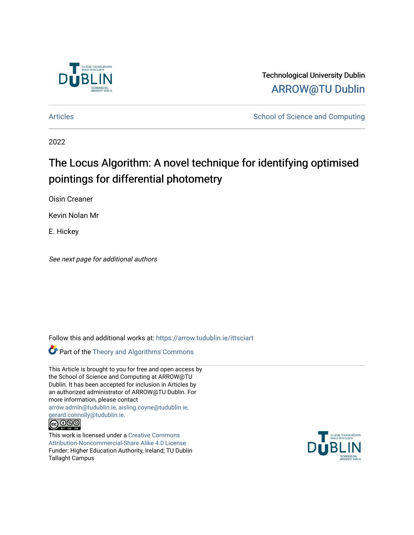

Technological University Dublin [ARROW@TU Dublin](https://arrow.tudublin.ie/) 

[Articles](https://arrow.tudublin.ie/ittsciart) **School of Science and Computing** 

2022

# The Locus Algorithm: A novel technique for identifying optimised pointings for differential photometry

Oisin Creaner

Kevin Nolan Mr

E. Hickey

See next page for additional authors

Follow this and additional works at: [https://arrow.tudublin.ie/ittsciart](https://arrow.tudublin.ie/ittsciart?utm_source=arrow.tudublin.ie%2Fittsciart%2F147&utm_medium=PDF&utm_campaign=PDFCoverPages)

Part of the [Theory and Algorithms Commons](https://network.bepress.com/hgg/discipline/151?utm_source=arrow.tudublin.ie%2Fittsciart%2F147&utm_medium=PDF&utm_campaign=PDFCoverPages) 

This Article is brought to you for free and open access by the School of Science and Computing at ARROW@TU Dublin. It has been accepted for inclusion in Articles by an authorized administrator of ARROW@TU Dublin. For more information, please contact [arrow.admin@tudublin.ie, aisling.coyne@tudublin.ie,](mailto:arrow.admin@tudublin.ie,%20aisling.coyne@tudublin.ie,%20gerard.connolly@tudublin.ie)  [gerard.connolly@tudublin.ie](mailto:arrow.admin@tudublin.ie,%20aisling.coyne@tudublin.ie,%20gerard.connolly@tudublin.ie). <u>@000</u>

This work is licensed under a [Creative Commons](http://creativecommons.org/licenses/by-nc-sa/4.0/) [Attribution-Noncommercial-Share Alike 4.0 License](http://creativecommons.org/licenses/by-nc-sa/4.0/) Funder: Higher Education Authority, Ireland; TU Dublin Tallaght Campus

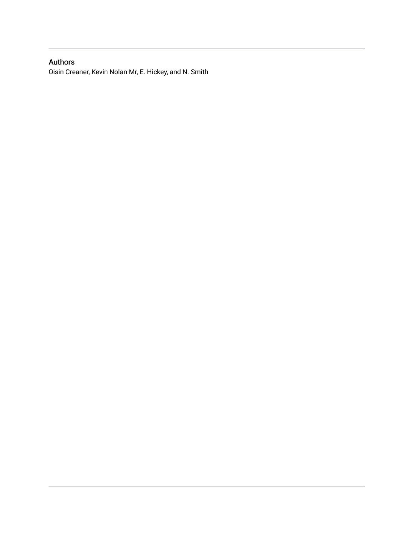### Authors

Oisin Creaner, Kevin Nolan Mr, E. Hickey, and N. Smith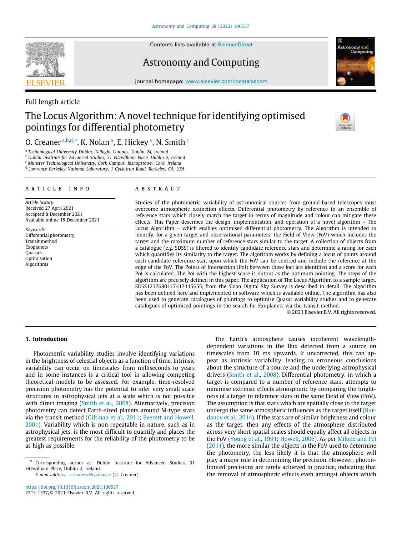

Contents lists available at [ScienceDirect](http://www.elsevier.com/locate/ascom)

### Astronomy and Computing



journal homepage: [www.elsevier.com/locate/ascom](http://www.elsevier.com/locate/ascom)

### Full length article

## The Locus Algorithm: A novel technique for identifying optimised pointings for differential photometry



O. Cre[a](#page-2-0)ner <sup>a,[b](#page-2-1),[d](#page-2-2),\*</sup>, K. Nolan <sup>a</sup>, E. Hi[c](#page-2-4)key <sup>a</sup>, N. Smith <sup>c</sup>

<span id="page-2-0"></span>a *Technological University Dublin, Tallaght Campus, Dublin 24, Ireland*

<span id="page-2-1"></span><sup>b</sup> *Dublin Institute for Advanced Studies, 31 Fitzwilliam Place, Dublin 2, Ireland*

<span id="page-2-4"></span><sup>c</sup> *Munster Technological University, Cork Campus, Bishopstown, Cork, Ireland*

<span id="page-2-2"></span>d *Lawrence Berkeley National Laboratory, 1 Cyclotron Road, Berkeley, CA, USA*

#### a r t i c l e i n f o

*Article history:* Received 27 April 2021 Accepted 8 December 2021 Available online 15 December 2021

*Keywords:* Differential photometry Transit method Exoplanets Quasars Optimisation Algorithms

#### A B S T R A C T

Studies of the photometric variability of astronomical sources from ground-based telescopes must overcome atmospheric extinction effects. Differential photometry by reference to an ensemble of reference stars which closely match the target in terms of magnitude and colour can mitigate these effects. This Paper describes the design, implementation, and operation of a novel algorithm – The Locus Algorithm – which enables optimised differential photometry. The Algorithm is intended to identify, for a given target and observational parameters, the Field of View (FoV) which includes the target and the maximum number of reference stars similar to the target. A collection of objects from a catalogue (e.g. SDSS) is filtered to identify candidate reference stars and determine a rating for each which quantifies its similarity to the target. The algorithm works by defining a locus of points around each candidate reference star, upon which the FoV can be centred and include the reference at the edge of the FoV. The Points of Intersection (PoI) between these loci are identified and a score for each PoI is calculated. The PoI with the highest score is output as the optimum pointing. The steps of the algorithm are precisely defined in this paper. The application of The Locus Algorithm to a sample target, SDSS1237680117417115655, from the Sloan Digital Sky Survey is described in detail. The algorithm has been defined here and implemented in software which is available online. The algorithm has also been used to generate catalogues of pointings to optimise Quasar variability studies and to generate catalogues of optimised pointings in the search for Exoplanets via the transit method.

© 2021 Elsevier B.V. All rights reserved.

#### **1. Introduction**

Photometric variability studies involve identifying variations in the brightness of celestial objects as a function of time. Intrinsic variability can occur on timescales from milliseconds to years and in some instances is a critical tool in allowing competing theoretical models to be assessed. For example, time-resolved precision photometry has the potential to infer very small scale structures in astrophysical jets at a scale which is not possible with direct imaging [\(Smith et al.](#page-10-0), [2008\)](#page-10-0). Alternatively, precision photometry can detect Earth-sized planets around M-type stars via the transit method [\(Giltinan et al.,](#page-10-1) [2011;](#page-10-1) [Everett and Howell,](#page-10-2) [2001\)](#page-10-2). Variability which is non-repeatable in nature, such as in astrophysical jets, is the most difficult to quantify and places the greatest requirements for the reliability of the photometry to be as high as possible.

*E-mail address:* [creanero@cp.dias.ie](mailto:creanero@cp.dias.ie) (O. Creaner).

<https://doi.org/10.1016/j.ascom.2021.100537> 2213-1337/© 2021 Elsevier B.V. All rights reserved.

The Earth's atmosphere causes incoherent wavelengthdependent variations in the flux detected from a source on timescales from 10 ms upwards. If uncorrected, this can appear as intrinsic variability, leading to erroneous conclusions about the structure of a source and the underlying astrophysical drivers ([Smith et al.](#page-10-0), [2008\)](#page-10-0). Differential photometry, in which a target is compared to a number of reference stars, attempts to minimise extrinsic effects atmospheric by comparing the brightness of a target to reference stars in the same Field of View (FoV). The assumption is that stars which are spatially close to the target undergo the same atmospheric influences as the target itself ([Bur](#page-10-3)[danov et al.](#page-10-3), [2014\)](#page-10-3). If the stars are of similar brightness and colour as the target, then any effects of the atmosphere distributed across very short spatial scales should equally affect all objects in the FoV [\(Young et al.,](#page-10-4) [1991](#page-10-4); [Howell,](#page-10-5) [2006](#page-10-5)). As per [Milone and Pel](#page-10-6) ([2011\)](#page-10-6), the more similar the objects in the FoV used to determine the photometry, the less likely it is that the atmosphere will play a major role in determining the precision. However, photonlimited precisions are rarely achieved in practice, indicating that the removal of atmospheric effects even amongst objects which

<span id="page-2-3"></span><sup>∗</sup> Corresponding author at: Dublin Institute for Advanced Studies, 31 Fitzwilliam Place, Dublin 2, Ireland.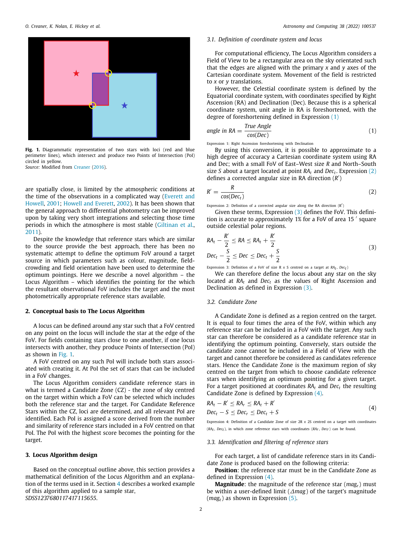

Fig. 1. Diagrammatic representation of two stars with loci (red and blue perimeter lines), which intersect and produce two Points of Intersection (PoI) circled in yellow. *Source:* Modified from [Creaner](#page-10-7) ([2016](#page-10-7)).

<span id="page-3-0"></span>are spatially close, is limited by the atmospheric conditions at the time of the observations in a complicated way ([Everett and](#page-10-2) [Howell,](#page-10-2) [2001;](#page-10-2) [Howell and Everett,](#page-10-8) [2002](#page-10-8)). It has been shown that the general approach to differential photometry can be improved upon by taking very short integrations and selecting those time periods in which the atmosphere is most stable [\(Giltinan et al.,](#page-10-1) [2011\)](#page-10-1).

Despite the knowledge that reference stars which are similar to the source provide the best approach, there has been no systematic attempt to define the optimum FoV around a target source in which parameters such as colour, magnitude, fieldcrowding and field orientation have been used to determine the optimum pointings. Here we describe a novel algorithm – the Locus Algorithm – which identifies the pointing for the which the resultant observational FoV includes the target and the most photometrically appropriate reference stars available.

#### **2. Conceptual basis to The Locus Algorithm**

A locus can be defined around any star such that a FoV centred on any point on the locus will include the star at the edge of the FoV. For fields containing stars close to one another, if one locus intersects with another, they produce Points of Intersection (PoI) as shown in [Fig.](#page-3-0) [1.](#page-3-0)

A FoV centred on any such PoI will include both stars associated with creating it. At PoI the set of stars that can be included in a FoV changes.

The Locus Algorithm considers candidate reference stars in what is termed a Candidate Zone (CZ) - the zone of sky centred on the target within which a FoV can be selected which includes both the reference star and the target. For Candidate Reference Stars within the CZ, loci are determined, and all relevant PoI are identified. Each PoI is assigned a score derived from the number and similarity of reference stars included in a FoV centred on that PoI. The PoI with the highest score becomes the pointing for the target.

### **3. Locus Algorithm design**

Based on the conceptual outline above, this section provides a mathematical definition of the Locus Algorithm and an explanation of the terms used in it. Section [4](#page-5-0) describes a worked example of this algorithm applied to a sample star, *SDSS1237680117417115655*.

#### *3.1. Definition of coordinate system and locus*

<span id="page-3-5"></span>For computational efficiency, The Locus Algorithm considers a Field of View to be a rectangular area on the sky orientated such that the edges are aligned with the primary *x* and *y* axes of the Cartesian coordinate system. Movement of the field is restricted to *x* or *y* translations.

However, the Celestial coordinate system is defined by the Equatorial coordinate system, with coordinates specified by Right Ascension (RA) and Declination (Dec). Because this is a spherical coordinate system, unit angle in RA is foreshortened, with the degree of foreshortening defined in Expression [\(1\)](#page-3-1)

<span id="page-3-1"></span>angle in RA = 
$$
\frac{True \text{ Angle}}{cos(Dec)}
$$
 (1)

Expression 1: Right Ascension foreshortening with Declination

By using this conversion, it is possible to approximate to a high degree of accuracy a Cartesian coordinate system using RA and Dec; with a small FoV of East–West size *R* and North–South size *S* about a target located at point *RA<sup>t</sup>* and *Dec<sup>t</sup>* . Expression ([2\)](#page-3-2) defines a corrected angular size in RA direction (*R* ′ )

$$
R' = \frac{R}{\cos(Dec_t)}\tag{2}
$$

<span id="page-3-2"></span>Expression 2: Definition of a corrected angular size along the RA direction  $(R')$ 

Given these terms, Expression ([3\)](#page-3-3) defines the FoV. This definition is accurate to approximately 1% for a FoV of area 15 ′ square outside celestial polar regions.

<span id="page-3-3"></span>
$$
RA_{t} - \frac{R'}{2} \leq RA \leq RA_{t} + \frac{R'}{2}
$$
  
\n
$$
Dec_{t} - \frac{S}{2} \leq Dec \leq Dec_{t} + \frac{S}{2}
$$
\n(3)

Expression 3: Definition of a FoV of size  $R \times S$  centred on a target at  $RA_t$ ,  $Dec_t$ 

We can therefore define the locus about any star on the sky located at *RA<sup>t</sup>* and *Dec<sup>t</sup>* as the values of Right Ascension and Declination as defined in Expression [\(3](#page-3-3)).

#### *3.2. Candidate Zone*

A Candidate Zone is defined as a region centred on the target. It is equal to four times the area of the FoV, within which any reference star can be included in a FoV with the target. Any such star can therefore be considered as a candidate reference star in identifying the optimum pointing. Conversely, stars outside the candidate zone cannot be included in a Field of View with the target and cannot therefore be considered as candidates reference stars. Hence the Candidate Zone is the maximum region of sky centred on the target from which to choose candidate reference stars when identifying an optimum pointing for a given target. For a target positioned at coordinates  $RA_t$  and  $Dec_t$  the resulting Candidate Zone is defined by Expression [\(4](#page-3-4)).

<span id="page-3-4"></span>
$$
RAt - R' \leq RAr \leq RAt + R'
$$
  
\n
$$
Dect - S \leq Decr \leq Dect + S
$$
\n(4)

Expression 4: Definition of a Candidate Zone of size 2R *x* 2S centred on a target with coordinates  $(RA_t, Dec_t)$ , in which zone reference stars with coordinates  $(RA_t, Dec_t)$  can be found.

#### *3.3. Identification and filtering of reference stars*

For each target, a list of candidate reference stars in its Candidate Zone is produced based on the following criteria:

**Position**: the reference star must be in the Candidate Zone as defined in Expression ([4\)](#page-3-4).

**Magnitude**: the magnitude of the reference star (*magr*) must be within a user-defined limit (∆*mag*) of the target's magnitude (*magt*) as shown in Expression [\(5\)](#page-4-0).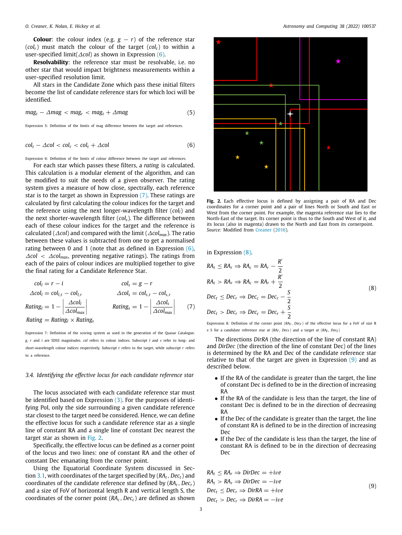**Colour:** the colour index (e.g.  $g - r$ ) of the reference star  $(col<sub>r</sub>)$  must match the colour of the target  $(col<sub>t</sub>)$  to within a user-specified limit(∆*col*) as shown in Expression ([6\)](#page-4-1).

**Resolvability**: the reference star must be resolvable, i.e. no other star that would impact brightness measurements within a user-specified resolution limit.

All stars in the Candidate Zone which pass these initial filters become the list of candidate reference stars for which loci will be identified.

$$
mag_t - \Delta mag < mag_r < mag_t + \Delta mag \tag{5}
$$

Expression 5: Definition of the limits of mag difference between the target and references.

$$
colt - \Delta col < colr < colt + \Delta col
$$
 (6)

Expression 6: Definition of the limits of colour difference between the target and references.

For each star which passes these filters, a *rating* is calculated. This calculation is a modular element of the algorithm, and can be modified to suit the needs of a given observer. The rating system gives a measure of how close, spectrally, each reference star is to the target as shown in Expression [\(7](#page-4-2)). These ratings are calculated by first calculating the colour indices for the target and the reference using the next longer-wavelength filter (*coll*) and the next shorter-wavelength filter (*cols*). The difference between each of these colour indices for the target and the reference is calculated (∆*col*) and compared with the limit (∆*colmax*). The ratio between these values is subtracted from one to get a normalised rating between 0 and 1 (note that as defined in Expression  $(6)$  $(6)$ , ∆*col* < ∆*colmax*, preventing negative ratings). The ratings from each of the pairs of colour indices are multiplied together to give the final rating for a Candidate Reference Star.

$$
col_{l} = r - i \t col_{l,t} - col_{l,t} \t col_{s} = g - r
$$
  
\n
$$
Acol_{l} = col_{l,t} - col_{l,t} \t Acol_{l} \t Acol_{s} = col_{s,t} - col_{s,t}
$$
  
\n
$$
Rating_{l} = 1 - \left| \frac{\Delta col_{l}}{\Delta col_{max}} \right| \t Rating_{s} = 1 - \left| \frac{\Delta col_{s}}{\Delta col_{max}} \right| \t (7)
$$

Expression 7: Definition of the scoring system as used in the generation of the Quasar Catalogue. *g*, *r* and *i* are SDSS magnitudes. *col* refers to colour indices. Subscript *l* and *s* refer to long- and short-wavelength colour indices respectively. Subscript *t* refers to the target, while subscript *r* refers to a reference.

#### *3.4. Identifying the effective locus for each candidate reference star*

The locus associated with each candidate reference star must be identified based on Expression  $(3)$ . For the purposes of identifying PoI, only the side surrounding a given candidate reference star closest to the target need be considered. Hence, we can define the effective locus for such a candidate reference star as a single line of constant RA and a single line of constant Dec nearest the target star as shown in [Fig.](#page-4-3) [2](#page-4-3).

Specifically, the effective locus can be defined as a corner point of the locus and two lines: one of constant RA and the other of constant Dec emanating from the corner point.

Using the Equatorial Coordinate System discussed in Section [3.1](#page-3-5), with coordinates of the target specified by (*RAt*, *Dect*) and coordinates of the candidate reference star defined by (*RAr*, *Decr*) and a size of FoV of horizontal length R and vertical length S, the coordinates of the corner point  $(RA_c, Dec_c)$  are defined as shown

<span id="page-4-0"></span>

<span id="page-4-3"></span><span id="page-4-1"></span>**Fig. 2.** Each effective locus is defined by assigning a pair of RA and Dec coordinates for a corner point and a pair of lines North or South and East or West from the corner point. For example, the magenta reference star lies to the North-East of the target. Its corner point is thus to the South and West of it, and its locus (also in magenta) drawn to the North and East from its cornerpoint. *Source:* Modified from [Creaner](#page-10-7) ([2016](#page-10-7)).

in Expression [\(8](#page-4-4)).

<span id="page-4-4"></span>
$$
RA_{t} \leq RA_{r} \Rightarrow RA_{c} = RA_{r} - \frac{R'}{2}
$$
  
\n
$$
RA_{t} > RA_{r} \Rightarrow RA_{c} = RA_{r} + \frac{R'}{2}
$$
  
\n
$$
Dec_{t} \leq Dec_{r} \Rightarrow Dec_{c} = Dec_{r} - \frac{S}{2}
$$
  
\n
$$
Dec_{t} > Dec_{r} \Rightarrow Dec_{c} = Dec_{r} + \frac{S}{2}
$$
  
\n(8)

<span id="page-4-2"></span>Expression 8: Definition of the corner point (*RA<sub>C</sub>*, *Dec<sub>C</sub>*) of the effective locus for a FoV of size R  $x$  S for a candidate reference star at  $(RA<sub>r</sub>, Dec<sub>r</sub>)$  and a target at  $(RA<sub>t</sub>, Dec<sub>t</sub>)$ 

The directions *DirRA* (the direction of the line of constant RA) and *DirDec* (the direction of the line of constant Dec) of the lines is determined by the RA and Dec of the candidate reference star relative to that of the target are given in Expression ([9\)](#page-4-5) and as described below.

- If the RA of the candidate is greater than the target, the line of constant Dec is defined to be in the direction of increasing RA
- If the RA of the candidate is less than the target, the line of constant Dec is defined to be in the direction of decreasing RA
- If the Dec of the candidate is greater than the target, the line of constant RA is defined to be in the direction of increasing Dec
- <span id="page-4-5"></span>• If the Dec of the candidate is less than the target, the line of constant RA is defined to be in the direction of decreasing Dec

$$
RA_t \leq RA_r \Rightarrow DirDec = +ive
$$
  
\n
$$
RA_t > RA_r \Rightarrow DirDec = -ive
$$
  
\n
$$
Dec_t \leq Dec_r \Rightarrow DirRA = +ive
$$
  
\n
$$
Dec_t > Dec_r \Rightarrow DirRA = -ive
$$
  
\n(9)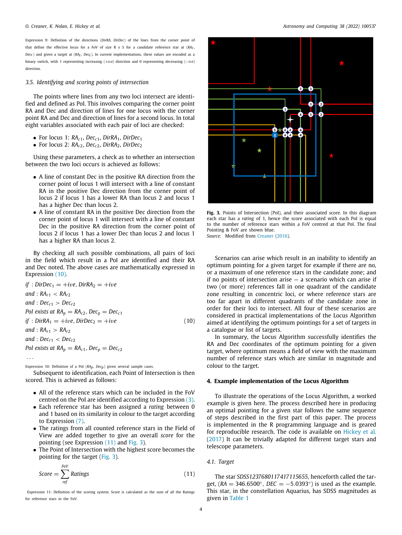Expression 9: Definition of the directions (*DirRA*, *DirDec*) of the lines from the corner point of that define the effective locus for a FoV of size R *x* S for a candidate reference star at (*RAr*,  $Dec_r$ ) and given a target at  $(RA_t, Dec_t)$ . In current implementations, these values are encoded as a binary switch, with 1 representing increasing (+*i*v*e*) direction and 0 representing decreasing (−*i*v*e*) direction.

#### *3.5. Identifying and scoring points of intersection*

The points where lines from any two loci intersect are identified and defined as PoI. This involves comparing the corner point RA and Dec and direction of lines for one locus with the corner point RA and Dec and direction of lines for a second locus. In total eight variables associated with each pair of loci are checked:

- For locus 1:  $RA<sub>c1</sub>$ ,  $Dec<sub>c1</sub>$ ,  $DirRA<sub>1</sub>$ ,  $DirDec<sub>1</sub>$
- For locus 2:  $RA<sub>c2</sub>$ ,  $Dec<sub>c2</sub>$ ,  $DirRA<sub>2</sub>$ ,  $DirDec<sub>2</sub>$

Using these parameters, a check as to whether an intersection between the two loci occurs is achieved as follows:

- A line of constant Dec in the positive RA direction from the corner point of locus 1 will intersect with a line of constant RA in the positive Dec direction from the corner point of locus 2 if locus 1 has a lower RA than locus 2 and locus 1 has a higher Dec than locus 2.
- A line of constant RA in the positive Dec direction from the corner point of locus 1 will intersect with a line of constant Dec in the positive RA direction from the corner point of locus 2 if locus 1 has a lower Dec than locus 2 and locus 1 has a higher RA than locus 2.

By checking all such possible combinations, all pairs of loci in the field which result in a PoI are identified and their RA and Dec noted. The above cases are mathematically expressed in Expression [\(10\)](#page-5-1).

*if* : *DirDec*<sup>1</sup> = +*i*v*e*, *DirRA*<sup>2</sup> = +*i*v*e and* : *RAr*<sup>1</sup> < *RAr*<sup>2</sup> *and* : *Decr*<sup>1</sup> > *Decr*<sup>2</sup> *PoI exists at RA<sup>p</sup>* = *RAc*2, *Dec<sup>p</sup>* = *Decc*<sup>1</sup> *if* : *DirRA*<sup>1</sup> = +*i*v*e*, *DirDec*<sup>2</sup> = +*i*v*e and* : *RAr*<sup>1</sup> > *RAr*<sup>2</sup> *and* : *Decr*<sup>1</sup> < *Decr*<sup>2</sup> *PoI exists at RA<sup>p</sup>* = *RAc*1, *Dec<sup>p</sup>* = *Decc*<sup>2</sup> (10)

. . .

Expression 10: Definition of a PoI (*RAp*, *Decp*) given several sample cases.

Subsequent to identification, each Point of Intersection is then scored. This is achieved as follows:

- All of the reference stars which can be included in the FoV centred on the PoI are identified according to Expression ([3\)](#page-3-3).
- Each reference star has been assigned a *rating* between 0 and 1 based on its similarity in colour to the target according to Expression ([7\)](#page-4-2).
- The ratings from all counted reference stars in the Field of View are added together to give an overall *score* for the pointing (see Expression ([11](#page-5-2)) and [Fig.](#page-5-3) [3\)](#page-5-3).
- The Point of Intersection with the highest score becomes the pointing for the target [\(Fig.](#page-5-3) [3](#page-5-3)).

$$
Score = \sum_{ref}^{FoV} Ratings
$$
 (11)

Expression 11: Definition of the scoring system. Score is calculated as the sum of all the Ratings for reference stars in the FoV.



<span id="page-5-3"></span>**Fig. 3.** Points of Intersection (PoI), and their associated score. In this diagram each star has a *rating* of 1, hence the score associated with each PoI is equal to the number of reference stars within a FoV centred at that PoI. The final Pointing & FoV are shown blue.

*Source:* Modified from [Creaner](#page-10-7) ([2016\)](#page-10-7).

Scenarios can arise which result in an inability to identify an optimum pointing for a given target for example if there are no, or a maximum of one reference stars in the candidate zone; and if no points of intersection arise — a scenario which can arise if two (or more) references fall in one quadrant of the candidate zone resulting in concentric loci, or where reference stars are too far apart in different quadrants of the candidate zone in order for their loci to intersect. All four of these scenarios are considered in practical implementations of the Locus Algorithm aimed at identifying the optimum pointings for a set of targets in a catalogue or list of targets.

<span id="page-5-1"></span>In summary, the Locus Algorithm successfully identifies the RA and Dec coordinates of the optimum pointing for a given target, where optimum means a field of view with the maximum number of reference stars which are similar in magnitude and colour to the target.

#### **4. Example implementation of the Locus Algorithm**

<span id="page-5-0"></span>To illustrate the operations of the Locus Algorithm, a worked example is given here. The process described here in producing an optimal pointing for a given star follows the same sequence of steps described in the first part of this paper. The process is implemented in the R programming language and is geared for reproducible research. The code is available on [Hickey et al.](#page-10-9) ([2017\)](#page-10-9) It can be trivially adapted for different target stars and telescope parameters.

#### *4.1. Target*

<span id="page-5-2"></span>The star *SDSS1237680117417115655*, henceforth called the target,  $(RA = 346.6500^{\circ}, DEC = -5.0393^{\circ})$  is used as the example. This star, in the constellation Aquarius, has SDSS magnitudes as given in [Table](#page-6-0) [1](#page-6-0)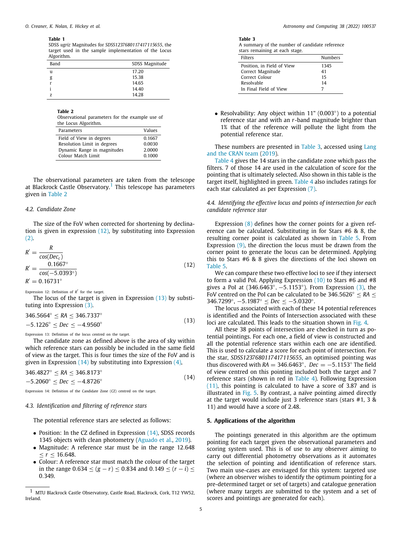#### **Table 1**

SDSS *ugriz* Magnitudes for *SDSS1237680117417115655*, the target used in the sample implementation of the Locus Algorithm.

<span id="page-6-0"></span>

| Band | SDSS Magnitude |
|------|----------------|
| u    | 17.20          |
| g    | 15.38          |
| r    | 14.65          |
|      | 14.40          |
| 7    | 14.28          |

#### **Table 2**

<span id="page-6-2"></span>Observational parameters for the example use of the Locus Algorithm.

<span id="page-6-1"></span>

| Parameters                  | Values |
|-----------------------------|--------|
| Field of View in degrees    | 0.1667 |
| Resolution Limit in degrees | 0.0030 |
| Dynamic Range in magnitudes | 2.0000 |
| Colour Match Limit          | 0.1000 |
|                             |        |

The observational parameters are taken from the telescope at Blackrock Castle Observatory.<sup>[1](#page-6-1)</sup> This telescope has parameters given in [Table](#page-6-2) [2](#page-6-2)

#### *4.2. Candidate Zone*

The size of the FoV when corrected for shortening by declination is given in expression ([12](#page-6-3)), by substituting into Expression ([2](#page-3-2)).

$$
R' = \frac{R}{\cos(Dec_{c})}
$$
  
\n
$$
R' = \frac{0.1667^{\circ}}{\cos(-5.0393^{\circ})}
$$
  
\n
$$
R' = 0.16731^{\circ}
$$
\n(12)

Expression 12: Definition of  $R'$  for the target.

The locus of the target is given in Expression [\(13\)](#page-6-4) by substituting into Expression [\(3\)](#page-3-3).

$$
346.5664^{\circ} \le RA \le 346.7337^{\circ}
$$
  
-5.1226<sup>°</sup>  $\le Dec \le -4.9560^{\circ}$  (13)

Expression 13: Definition of the locus centred on the target.

The candidate zone as defined above is the area of sky within which reference stars can possibly be included in the same field of view as the target. This is four times the size of the FoV and is given in Expression  $(14)$  $(14)$  by substituting into Expression  $(4)$  $(4)$  $(4)$ ,

<sup>346</sup>.4827◦ ≤ *RA* ≤ <sup>346</sup>.8173◦  $-5.2060° < Dec < -4.8726°$ (14)

Expression 14: Definition of the Candidate Zone (CZ) centred on the target.

#### *4.3. Identification and filtering of reference stars*

The potential reference stars are selected as follows:

- Position: In the CZ defined in Expression [\(14\)](#page-6-5), SDSS records 1345 objects with clean photometry [\(Aguado et al.](#page-9-0), [2019\)](#page-9-0).
- Magnitude: A reference star must be in the range 12.648  $\langle r < 16.648.$
- Colour: A reference star must match the colour of the target in the range  $0.634 \le (g - r) \le 0.834$  and  $0.149 \le (r - i) \le$ 0.349.

**Table 3**

A summary of the number of candidate reference stars remaining at each stage.

<span id="page-6-6"></span>

| Filters                    | Numbers |
|----------------------------|---------|
| Position, in Field of View | 1345    |
| Correct Magnitude          | 41      |
| Correct Colour             | 15      |
| Resolvable                 | 14      |
| In Final Field of View     |         |

• Resolvability: Any object within 11" (0.003◦ ) to a potential reference star and with an *r*-band magnitude brighter than 1% that of the reference will pollute the light from the potential reference star.

These numbers are presented in [Table](#page-6-6) [3](#page-6-6), accessed using [Lang](#page-10-10) [and the CRAN team](#page-10-10) ([2019\)](#page-10-10).

[Table](#page-7-0) [4](#page-7-0) gives the 14 stars in the candidate zone which pass the filters. 7 of those 14 are used in the calculation of score for the pointing that is ultimately selected. Also shown in this table is the target itself, highlighted in green. [Table](#page-7-0) [4](#page-7-0) also includes ratings for each star calculated as per Expression ([7](#page-4-2)).

*4.4. Identifying the effective locus and points of intersection for each candidate reference star*

<span id="page-6-7"></span>Expression [\(8](#page-4-4)) defines how the corner points for a given reference can be calculated. Substituting in for Stars #6 & 8, the resulting corner point is calculated as shown in [Table](#page-7-1) [5.](#page-7-1) From Expression ([9](#page-4-5)), the direction the locus must be drawn from the corner point to generate the locus can be determined. Applying this to Stars #6 & 8 gives the directions of the loci shown on [Table](#page-7-1) [5.](#page-7-1)

<span id="page-6-3"></span>We can compare these two effective loci to see if they intersect to form a valid PoI. Applying Expression ([10](#page-5-1)) to Stars #6 and #8 gives a PoI at  $(346.6463°, -5.1153°)$  $(346.6463°, -5.1153°)$  $(346.6463°, -5.1153°)$ . From Expression  $(3)$ , the FoV centred on the PoI can be calculated to be 346.5626◦ ≤ *RA* ≤ 346.7299◦ , −5.1987◦ ≤ *Dec* ≤ −5.0320◦ .

The locus associated with each of these 14 potential references is identified and the Points of Intersection associated with these loci are calculated. This leads to the situation shown in [Fig.](#page-7-2) [4](#page-7-2).

<span id="page-6-4"></span>All these 38 points of intersection are checked in turn as potential pointings. For each one, a field of view is constructed and all the potential reference stars within each one are identified. This is used to calculate a score for each point of intersection. For the star, *SDSS1237680117417115655*, an optimised pointing was thus discovered with  $RA = 346.6463^\circ$ ,  $Dec = -5.1153^\circ$  The field of view centred on this pointing included both the target and 7 reference stars (shown in red in [Table](#page-7-0) [4](#page-7-0)). Following Expression ([11](#page-5-2)), this pointing is calculated to have a score of 3.87 and is illustrated in [Fig.](#page-7-3) [5.](#page-7-3) By contrast, a naïve pointing aimed directly at the target would include just 3 reference stars (stars #1, 3 & 11) and would have a score of 2.48.

#### <span id="page-6-5"></span>**5. Applications of the algorithm**

The pointings generated in this algorithm are the optimum pointing for each target given the observational parameters and scoring system used. This is of use to any observer aiming to carry out differential photometry observations as it automates the selection of pointing and identification of reference stars. Two main use-cases are envisaged for this system: targeted use (where an observer wishes to identify the optimum pointing for a pre-determined target or set of targets) and catalogue generation (where many targets are submitted to the system and a set of scores and pointings are generated for each).

<sup>1</sup> MTU Blackrock Castle Observatory, Castle Road, Blackrock, Cork, T12 YW52, Ireland.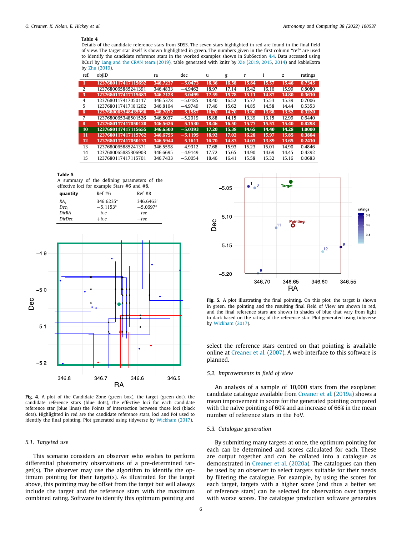#### **Table 4**

Details of the candidate reference stars from SDSS. The seven stars highlighted in red are found in the final field of view. The target star itself is shown highlighted in green. The numbers given in the first column ''ref'' are used to identify the candidate reference stars in the worked examples shown in SubSection [4.4](#page-6-7). Data accessed using RCurl by [Lang and the CRAN team](#page-10-10) [\(2019](#page-10-11)), table generated with knitr by [Xie](#page-10-11) (2019, [2015](#page-10-12), [2014\)](#page-10-13) and kableExtra by [Zhu](#page-10-14) [\(2019](#page-10-14)).

<span id="page-7-0"></span>

| ref.           | objID               | ra       | dec       | u     | g     | r     |       | z     | ratings |
|----------------|---------------------|----------|-----------|-------|-------|-------|-------|-------|---------|
| -1             | 1237680117417115692 | 346.7237 | $-5.0473$ | 18.36 | 16.58 | 15.84 | 15.57 | 15.46 | 0.7345  |
| 2              | 1237680065885241391 | 346.4833 | $-4.9462$ | 18.97 | 17.14 | 16.42 | 16.16 | 15.99 | 0.8080  |
| 3              | 1237680117417115683 | 346.7128 | $-5.0499$ | 17.59 | 15.78 | 15.11 | 14.87 | 14.80 | 0.3610  |
| $\overline{4}$ | 1237680117417050117 | 346.5378 | $-5.0185$ | 18.40 | 16.52 | 15.77 | 15.53 | 15.39 | 0.7006  |
| 5              | 1237680117417181202 | 346.8104 | $-4.9749$ | 17.46 | 15.62 | 14.85 | 14.58 | 14.44 | 0.5353  |
| 6              | 1237680065348435996 | 346.7072 | $-5.1987$ | 16.70 | 14.70 | 13.90 | 13.68 | 13.52 | 0.3220  |
| 7              | 1237680065348501526 | 346.8037 | $-5.2019$ | 15.88 | 14.15 | 13.39 | 13.15 | 12.99 | 0.6440  |
| 8              | 1237680117417050120 | 346.5626 | $-5.1530$ | 18.46 | 16.50 | 15.77 | 15.53 | 15.40 | 0.8298  |
| 10             | 1237680117417115655 | 346.6500 | $-5.0393$ | 17.20 | 15.38 | 14.65 | 14.40 | 14.28 | 1.0000  |
| 11             | 1237680117417115762 | 346.6755 | $-5.1195$ | 18.92 | 17.02 | 16.28 | 15.97 | 15.85 | 0.3804  |
| 12             | 1237680117417050133 | 346.5944 | $-5.1611$ | 16.70 | 14.83 | 14.07 | 13.89 | 13.65 | 0.2410  |
| 13             | 1237680065885241371 | 346.5598 | $-4.9312$ | 17.68 | 15.93 | 15.23 | 15.01 | 14.90 | 0.4846  |
| 14             | 1237680065885306903 | 346.6695 | $-4.9149$ | 17.72 | 15.65 | 14.90 | 14.69 | 14.45 | 0.4292  |
| 15             | 1237680117417115701 | 346.7433 | $-5.0054$ | 18.46 | 16.41 | 15.58 | 15.32 | 15.16 | 0.0683  |

#### **Table 5**

<span id="page-7-1"></span>A summary of the defining parameters of the effective loci for example Stars #6 and #8.

| quantity        | Ref#6             | Ref#8             |
|-----------------|-------------------|-------------------|
| RA <sub>c</sub> | 346.6235°         | 346.6463°         |
| $Dec_c$         | $-5.1153^{\circ}$ | $-5.0697^{\circ}$ |
| <b>DirRA</b>    | $-ive$            | $-ive$            |
| <b>DirDec</b>   | $+ive$            | $-ive$            |



<span id="page-7-2"></span>**Fig. 4.** A plot of the Candidate Zone (green box), the target (green dot), the candidate reference stars (blue dots), the effective loci for each candidate reference star (blue lines) the Points of Intersection between those loci (black dots). Highlighted in red are the candidate reference stars, loci and PoI used to identify the final pointing. Plot generated using tidyverse by [Wickham](#page-10-15) ([2017](#page-10-15)).

#### *5.1. Targeted use*

This scenario considers an observer who wishes to perform differential photometry observations of a pre-determined target(s). The observer may use the algorithm to identify the optimum pointing for their target(s). As illustrated for the target above, this pointing may be offset from the target but will always include the target and the reference stars with the maximum combined rating. Software to identify this optimum pointing and



<span id="page-7-3"></span>**Fig. 5.** A plot illustrating the final pointing. On this plot, the target is shown in green, the pointing and the resulting final Field of View are shown in red, and the final reference stars are shown in shades of blue that vary from light to dark based on the rating of the reference star. Plot generated using tidyverse by [Wickham](#page-10-15) [\(2017\)](#page-10-15).

select the reference stars centred on that pointing is available online at [Creaner et al.](#page-10-16) [\(2007](#page-10-16)). A web interface to this software is planned.

#### *5.2. Improvements in field of view*

An analysis of a sample of 10,000 stars from the exoplanet candidate catalogue available from [Creaner et al.](#page-10-17) [\(2019a\)](#page-10-17) shows a mean improvement in score for the generated pointing compared with the naïve pointing of 60% and an increase of 66% in the mean number of reference stars in the FoV.

#### *5.3. Catalogue generation*

By submitting many targets at once, the optimum pointing for each can be determined and scores calculated for each. These are output together and can be collated into a catalogue as demonstrated in [Creaner et al.](#page-10-18) ([2020a](#page-10-18)). The catalogues can then be used by an observer to select targets suitable for their needs by filtering the catalogue. For example, by using the scores for each target, targets with a higher score (and thus a better set of reference stars) can be selected for observation over targets with worse scores. The catalogue production software generates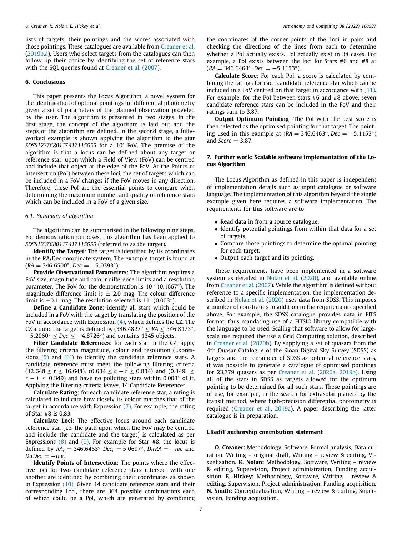lists of targets, their pointings and the scores associated with those pointings. These catalogues are available from [Creaner et al.](#page-10-19) ([2019b,](#page-10-19)[a\)](#page-10-17). Users who select targets from the catalogues can then follow up their choice by identifying the set of reference stars with the SQL queries found at [Creaner et al.](#page-10-16) [\(2007](#page-10-16)).

#### **6. Conclusions**

This paper presents the Locus Algorithm, a novel system for the identification of optimal pointings for differential photometry given a set of parameters of the planned observation provided by the user. The algorithm is presented in two stages. In the first stage, the concept of the algorithm is laid out and the steps of the algorithm are defined. In the second stage, a fullyworked example is shown applying the algorithm to the star *SDSS1237680117417115655* for a 10′ FoV. The premise of the algorithm is that a locus can be defined about any target or reference star, upon which a Field of View (FoV) can be centred and include that object at the edge of the FoV. At the Points of Intersection (PoI) between these loci, the set of targets which can be included in a FoV changes if the FoV moves in any direction. Therefore, these PoI are the essential points to compare when determining the maximum number and quality of reference stars which can be included in a FoV of a given size.

#### *6.1. Summary of algorithm*

The algorithm can be summarised in the following nine steps. For demonstration purposes, this algorithm has been applied to *SDSS1237680117417115655* (referred to as the target).

**Identify the Target**: The target is identified by its coordinates in the RA/Dec coordinate system. The example target is found at  $(RA = 346.6500^{\circ}, Dec = -5.0393^{\circ}).$ 

**Provide Observational Parameters**: The algorithm requires a FoV size, magnitude and colour difference limits and a resolution parameter. The FoV for the demonstration is 10  $'$  (0.1667°). The magnitude difference limit is  $\pm$  2.0 mag. The colour difference limit is  $\pm 0.1$  mag. The resolution selected is 11" (0.003°).

**Define a Candidate Zone**: identify all stars which could be included in a FoV with the target by translating the position of the FoV in accordance with Expression  $(4)$ , which defines the CZ. The CZ around the target is defined by  $(346.4827° \leq RA \leq 346.8173°$ , −5.2060◦ ≤ *Dec* ≤ −4.8726◦ ) and contains 1345 objects.

**Filter Candidate References**: for each star in the CZ, apply the filtering criteria magnitude, colour and resolution (Expressions  $(5)$  $(5)$  $(5)$  and  $(6)$  $(6)$ ) to identify the candidate reference stars. A candidate reference must meet the following filtering criteria (12.648 ≤ *r* ≤ 16.648), (0.634 ≤ *g* − *r* ≤ 0.834) and (0.149 ≤  $r - i \leq 0.349$ ) and have no polluting stars within 0.003° of it. Applying the filtering criteria leaves 14 Candidate References.

**Calculate Rating**: for each candidate reference star, a rating is calculated to indicate how closely its colour matches that of the target in accordance with Expression [\(7\)](#page-4-2). For example, the rating of Star #8 is 0.83.

**Calculate Loci**: The effective locus around each candidate reference star (i.e. the path upon which the FoV may be centred and include the candidate and the target) is calculated as per Expressions  $(8)$  and  $(9)$  $(9)$  $(9)$ . For example for Star #8, the locus is defined by  $RA_c = 346.6463°$   $Dec_c = 5.0697°$ ,  $DirRA = -ive$  and  $DirDec = -ive$ .

**Identify Points of Intersection**: The points where the effective loci for two candidate reference stars intersect with one another are identified by combining their coordinates as shown in Expression [\(10\)](#page-5-1). Given 14 candidate reference stars and their corresponding Loci, there are 364 possible combinations each of which could be a PoI, which are generated by combining the coordinates of the corner-points of the Loci in pairs and checking the directions of the lines from each to determine whether a PoI actually exists. PoI actually exist in 38 cases. For example, a PoI exists between the loci for Stars #6 and #8 at  $(RA = 346.6463°, Dec = -5.1153°).$ 

**Calculate Score**: For each PoI, a score is calculated by combining the ratings for each candidate reference star which can be included in a FoV centred on that target in accordance with [\(11\)](#page-5-2). For example, for the PoI between stars #6 and #8 above, seven candidate reference stars can be included in the FoV and their ratings sum to 3.87.

**Output Optimum Pointing**: The PoI with the best score is then selected as the optimised pointing for that target. The pointing used in this example at  $(RA = 346.6463°, Dec = -5.1153°)$ and *Score* = 3.87.

#### **7. Further work: Scalable software implementation of the Locus Algorithm**

The Locus Algorithm as defined in this paper is independent of implementation details such as input catalogue or software language. The implementation of this algorithm beyond the single example given here requires a software implementation. The requirements for this software are to:

- Read data in from a source catalogue.
- Identify potential pointings from within that data for a set of targets.
- Compare those pointings to determine the optimal pointing for each target.
- Output each target and its pointing.

These requirements have been implemented in a software system as detailed in [Nolan et al.](#page-10-20) [\(2020\)](#page-10-20), and available online from [Creaner et al.](#page-10-16) [\(2007\)](#page-10-16). While the algorithm is defined without reference to a specific implementation, the implementation described in [Nolan et al.](#page-10-20) ([2020](#page-10-20)) uses data from SDSS. This imposes a number of constraints in addition to the requirements specified above. For example, the SDSS catalogue provides data in FITS format, thus mandating use of a FITSIO library compatible with the language to be used. Scaling that software to allow for largescale use required the use a Grid Computing solution, described in [Creaner et al.](#page-10-21) ([2020b\)](#page-10-21). By supplying a set of quasars from the 4th Quasar Catalogue of the Sloan Digital Sky Survey (SDSS) as targets and the remainder of SDSS as potential reference stars, it was possible to generate a catalogue of optimised pointings for 23,779 quasars as per [Creaner et al.](#page-10-18) ([2020a](#page-10-18), [2019b](#page-10-19)). Using all of the stars in SDSS as targets allowed for the optimum pointing to be determined for all such stars. These pointings are of use, for example, in the search for extrasolar planets by the transit method, where high-precision differential photometry is required ([Creaner et al.](#page-10-17), [2019a\)](#page-10-17). A paper describing the latter catalogue is in preparation.

#### **CRediT authorship contribution statement**

**O. Creaner:** Methodology, Software, Formal analysis, Data curation, Writing – original draft, Writing – review & editing, Visualization. **K. Nolan:** Methodology, Software, Writing – review & editing, Supervision, Project administration, Funding acquisition. **E. Hickey:** Methodology, Software, Writing – review & editing, Supervision, Project administration, Funding acquisition. **N. Smith:** Conceptualization, Writing – review & editing, Supervision, Funding acquisition.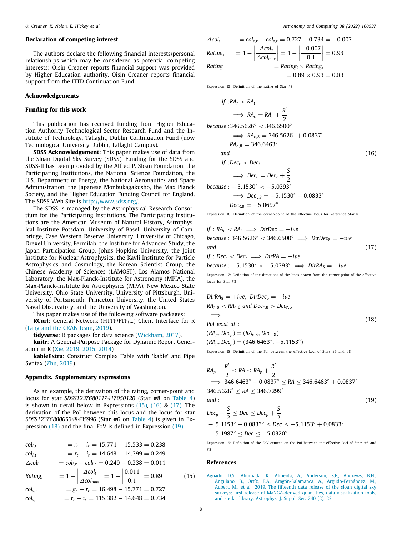#### **Declaration of competing interest**

The authors declare the following financial interests/personal relationships which may be considered as potential competing interests: Oisin Creaner reports financial support was provided by Higher Education authority. Oisin Creaner reports financial support from the ITTD Continuation Fund.

#### **Acknowledgements**

#### **Funding for this work**

This publication has received funding from Higher Education Authority Technological Sector Research Fund and the Institute of Technology, Tallaght, Dublin Continuation Fund (now Technological University Dublin, Tallaght Campus).

**SDSS Acknowledgement**: This paper makes use of data from the Sloan Digital Sky Survey (SDSS). Funding for the SDSS and SDSS-II has been provided by the Alfred P. Sloan Foundation, the Participating Institutions, the National Science Foundation, the U.S. Department of Energy, the National Aeronautics and Space Administration, the Japanese Monbukagakusho, the Max Planck Society, and the Higher Education Funding Council for England. The SDSS Web Site is <http://www.sdss.org/>.

The SDSS is managed by the Astrophysical Research Consortium for the Participating Institutions. The Participating Institutions are the American Museum of Natural History, Astrophysical Institute Potsdam, University of Basel, University of Cambridge, Case Western Reserve University, University of Chicago, Drexel University, Fermilab, the Institute for Advanced Study, the Japan Participation Group, Johns Hopkins University, the Joint Institute for Nuclear Astrophysics, the Kavli Institute for Particle Astrophysics and Cosmology, the Korean Scientist Group, the Chinese Academy of Sciences (LAMOST), Los Alamos National Laboratory, the Max-Planck-Institute for Astronomy (MPIA), the Max-Planck-Institute for Astrophysics (MPA), New Mexico State University, Ohio State University, University of Pittsburgh, University of Portsmouth, Princeton University, the United States Naval Observatory, and the University of Washington.

This paper makes use of the following software packages:

**RCurl**: General Network (HTTP/FTP/...) Client Interface for R ([Lang and the CRAN team,](#page-10-10) [2019](#page-10-10)).

**tidyverse**: R packages for data science ([Wickham,](#page-10-15) [2017\)](#page-10-15).

**knitr**: A General-Purpose Package for Dynamic Report Generation in R [\(Xie,](#page-10-11) [2019](#page-10-11), [2015](#page-10-12), [2014](#page-10-13))

**kableExtra**: Construct Complex Table with 'kable' and Pipe Syntax [\(Zhu](#page-10-14), [2019\)](#page-10-14)

#### **Appendix. Supplementary expressions**

As an example, the derivation of the rating, corner-point and locus for star *SDSS1237680117417050120* (Star #8 on [Table](#page-7-0) [4\)](#page-7-0) is shown in detail below in Expressions [\(15\)](#page-9-1), ([16](#page-9-2)) & [\(17\)](#page-9-3). The derivation of the PoI between this locus and the locus for star *SDSS1237680065348435996* (Star #6 on [Table](#page-7-0) [4](#page-7-0)) is given in Expression ([18](#page-9-4)) and the final FoV is defined in Expression ([19](#page-9-5)).

$$
col_{l,r} = r_r - i_r = 15.771 - 15.533 = 0.238
$$

$$
col_{l,t} = r_t - i_t = 14.648 - 14.399 = 0.249
$$

$$
\Delta col_l
$$
 =  $col_{l,r} - col_{l,t} = 0.249 - 0.238 = 0.011$ 

$$
Rating_{l} = 1 - \left| \frac{\Delta col_{l}}{\Delta col_{max}} \right| = 1 - \left| \frac{0.011}{0.1} \right| = 0.89
$$
 (15)

$$
col_{s,r} = g_r - r_r = 16.498 - 15.771 = 0.727
$$
  

$$
col_{s,t} = r_r - i_r = 115.382 - 14.648 = 0.734
$$

<span id="page-9-2"></span> $= 0.89 \times 0.93 = 0.83$ 

$$
\Delta col_s = col_{s,r} - col_{s,t} = 0.727 - 0.734 = -0.007
$$
\n
$$
Rating_s = 1 - \left| \frac{\Delta col_s}{\Delta col_{max}} \right| = 1 - \left| \frac{-0.007}{0.1} \right| = 0.93
$$
\n
$$
Rating = Rating_l \times Rating_s
$$

Expression 15: Definition of the rating of Star #8

if :
$$
RA_r
$$
  $RA_t$   
\n $\implies RA_c = RA_r + \frac{R'}{2}$   
\nbecause :346.5626°  $346.6500°$ 

$$
\implies RA_{c,8} = 346.5626^{\circ} + 0.0837^{\circ}
$$
  
\n
$$
RA_{c,8} = 346.6463^{\circ}
$$
  
\nand  
\nif :Dec<sub>r</sub> < Dec<sub>t</sub>  
\n
$$
\implies Dec_{c} = Dec_{r} + \frac{S}{2}
$$
 (16)

because: 
$$
-5.1530^{\circ} < -5.0393^{\circ}
$$
  
\n $\implies Dec_{c,8} = -5.1530^{\circ} + 0.0833^{\circ}$   
\n $Dec_{c,8} = -5.0697^{\circ}$ 

Expression 16: Definition of the corner-point of the effective locus for Reference Star 8

<span id="page-9-3"></span>if : 
$$
RA_r < RA_t \implies DirDec = -ive
$$
  
\nbecause : 346.5626° < 346.6500°  $\implies DirDec_8 = -ive$   
\nand  
\nif : Dec<sub>r</sub> < Dec<sub>t</sub>  $\implies DirRA = -ive$  (17)

 $because: -5.1530° < -5.0393° \implies DirRA_8 = -ive$ 

Expression 17: Definition of the directions of the lines drawn from the corner-point of the effective locus for Star #8

$$
DirR_{8} = +ive, DirDec_{6} = -ive
$$
  
\n
$$
RA_{r,8} < RA_{r,6} \text{ and } Dec_{r,8} > Dec_{r,6}
$$
  
\n
$$
\implies
$$
  
\n
$$
Pol \text{ exist at :}
$$
  
\n
$$
(RA_{p}, Dec_{p}) = (RA_{c,6}, Dec_{c,8})
$$
  
\n(18)

<span id="page-9-4"></span> $(RA_p, Dec_p) = (346.6463^\circ, -5.1153^\circ)$ 

Expression 18: Definition of the PoI between the effective Loci of Stars #6 and #8

$$
RA_p - \frac{R'}{2} \le RA \le RA_p + \frac{R'}{2}
$$
  
\n
$$
\implies 346.6463^\circ - 0.0837^\circ \le RA \le 346.6463^\circ + 0.0837^\circ
$$
  
\n
$$
346.5626^\circ \le RA \le 346.7299^\circ
$$
  
\nand : (19)

<span id="page-9-5"></span>
$$
Dec_p - \frac{S}{2} \le Dec \le Dec_p + \frac{S}{2}
$$
  
- 5.1153<sup>°</sup> - 0.0833<sup>°</sup> \le Dec \le -5.1153<sup>°</sup> + 0.0833<sup>°</sup>  
- 5.1987<sup>°</sup> \le Dec \le -5.0320<sup>°</sup>

Expression 19: Definition of the FoV centred on the PoI between the effective Loci of Stars #6 and #8

#### **References**

<span id="page-9-1"></span><span id="page-9-0"></span>[Aguado, D.S., Ahumada, R., Almeida, A., Anderson, S.F., Andrews, B.H.,](http://refhub.elsevier.com/S2213-1337(21)00082-2/sb1) [Anguiano, B., Ortíz, E.A., Aragón-Salamanca, A., Argudo-Fernández, M.,](http://refhub.elsevier.com/S2213-1337(21)00082-2/sb1) [Aubert, M., et al., 2019. The fifteenth data release of the sloan digital sky](http://refhub.elsevier.com/S2213-1337(21)00082-2/sb1) [surveys: first release of MaNGA-derived quantities, data visualization tools,](http://refhub.elsevier.com/S2213-1337(21)00082-2/sb1) [and stellar library. Astrophys. J. Suppl. Ser. 240 \(2\), 23.](http://refhub.elsevier.com/S2213-1337(21)00082-2/sb1)